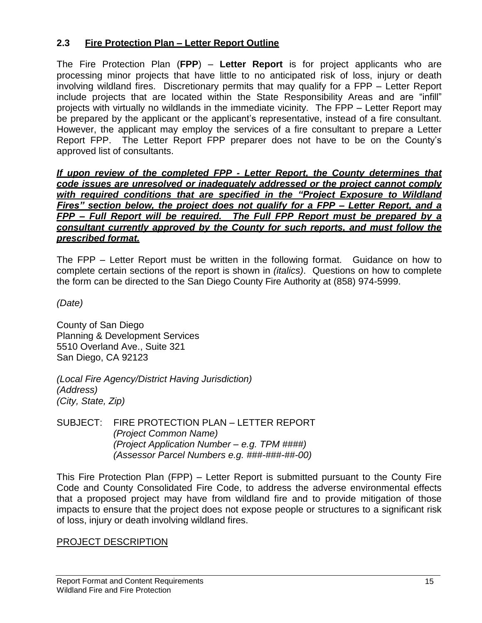## **2.3 Fire Protection Plan – Letter Report Outline**

The Fire Protection Plan (**FPP**) – **Letter Report** is for project applicants who are processing minor projects that have little to no anticipated risk of loss, injury or death involving wildland fires. Discretionary permits that may qualify for a FPP – Letter Report include projects that are located within the State Responsibility Areas and are "infill" projects with virtually no wildlands in the immediate vicinity. The FPP – Letter Report may be prepared by the applicant or the applicant's representative, instead of a fire consultant. However, the applicant may employ the services of a fire consultant to prepare a Letter Report FPP. The Letter Report FPP preparer does not have to be on the County's approved list of consultants.

*If upon review of the completed FPP - Letter Report, the County determines that code issues are unresolved or inadequately addressed or the project cannot comply with required conditions that are specified in the "Project Exposure to Wildland Fires" section below, the project does not qualify for a FPP – Letter Report, and a FPP – Full Report will be required. The Full FPP Report must be prepared by a consultant currently approved by the County for such reports, and must follow the prescribed format.*

The FPP – Letter Report must be written in the following format. Guidance on how to complete certain sections of the report is shown in *(italics)*. Questions on how to complete the form can be directed to the San Diego County Fire Authority at (858) 974-5999.

*(Date)*

County of San Diego Planning & Development Services 5510 Overland Ave., Suite 321 San Diego, CA 92123

*(Local Fire Agency/District Having Jurisdiction) (Address) (City, State, Zip)*

SUBJECT: FIRE PROTECTION PLAN – LETTER REPORT *(Project Common Name) (Project Application Number – e.g. TPM ####) (Assessor Parcel Numbers e.g. ###-###-##-00)*

This Fire Protection Plan (FPP) – Letter Report is submitted pursuant to the County Fire Code and County Consolidated Fire Code, to address the adverse environmental effects that a proposed project may have from wildland fire and to provide mitigation of those impacts to ensure that the project does not expose people or structures to a significant risk of loss, injury or death involving wildland fires.

#### PROJECT DESCRIPTION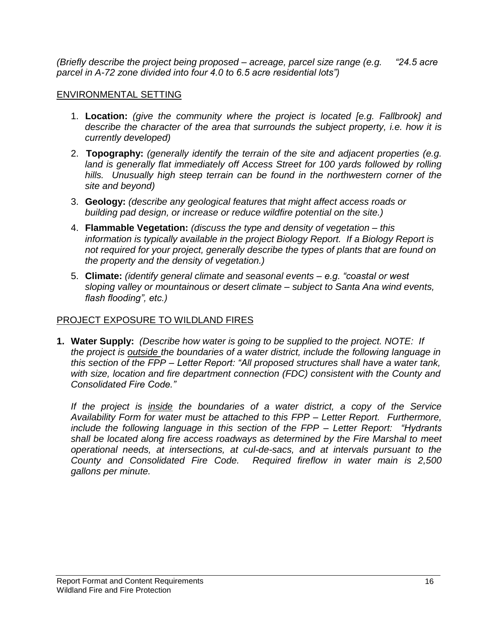*(Briefly describe the project being proposed – acreage, parcel size range (e.g. "24.5 acre parcel in A-72 zone divided into four 4.0 to 6.5 acre residential lots")*

### ENVIRONMENTAL SETTING

- 1. **Location:** *(give the community where the project is located [e.g. Fallbrook] and describe the character of the area that surrounds the subject property, i.e. how it is currently developed)*
- 2. **Topography:** *(generally identify the terrain of the site and adjacent properties (e.g. land is generally flat immediately off Access Street for 100 yards followed by rolling hills. Unusually high steep terrain can be found in the northwestern corner of the site and beyond)*
- 3. **Geology:** *(describe any geological features that might affect access roads or building pad design, or increase or reduce wildfire potential on the site.)*
- 4. **Flammable Vegetation:** *(discuss the type and density of vegetation – this information is typically available in the project Biology Report. If a Biology Report is not required for your project, generally describe the types of plants that are found on the property and the density of vegetation.)*
- 5. **Climate:** *(identify general climate and seasonal events – e.g. "coastal or west sloping valley or mountainous or desert climate – subject to Santa Ana wind events, flash flooding", etc.)*

# PROJECT EXPOSURE TO WILDLAND FIRES

**1. Water Supply:** *(Describe how water is going to be supplied to the project. NOTE: If the project is outside the boundaries of a water district, include the following language in this section of the FPP – Letter Report: "All proposed structures shall have a water tank, with size, location and fire department connection (FDC) consistent with the County and Consolidated Fire Code."*

*If the project is inside the boundaries of a water district, a copy of the Service Availability Form for water must be attached to this FPP – Letter Report. Furthermore, include the following language in this section of the FPP – Letter Report: "Hydrants shall be located along fire access roadways as determined by the Fire Marshal to meet operational needs, at intersections, at cul-de-sacs, and at intervals pursuant to the County and Consolidated Fire Code. Required fireflow in water main is 2,500 gallons per minute.*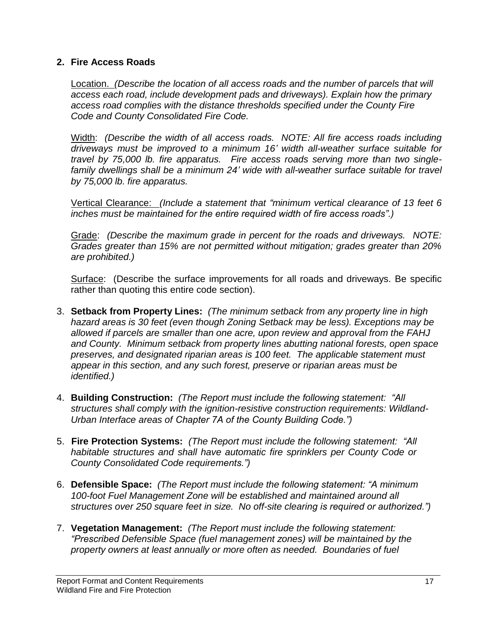#### **2. Fire Access Roads**

Location. *(Describe the location of all access roads and the number of parcels that will access each road, include development pads and driveways). Explain how the primary access road complies with the distance thresholds specified under the County Fire Code and County Consolidated Fire Code.*

Width: *(Describe the width of all access roads. NOTE: All fire access roads including driveways must be improved to a minimum 16' width all-weather surface suitable for travel by 75,000 lb. fire apparatus. Fire access roads serving more than two singlefamily dwellings shall be a minimum 24' wide with all-weather surface suitable for travel by 75,000 lb. fire apparatus.*

Vertical Clearance: *(Include a statement that "minimum vertical clearance of 13 feet 6 inches must be maintained for the entire required width of fire access roads".)*

Grade: *(Describe the maximum grade in percent for the roads and driveways. NOTE: Grades greater than 15% are not permitted without mitigation; grades greater than 20% are prohibited.)*

Surface: (Describe the surface improvements for all roads and driveways. Be specific rather than quoting this entire code section).

- 3. **Setback from Property Lines:** *(The minimum setback from any property line in high hazard areas is 30 feet (even though Zoning Setback may be less). Exceptions may be allowed if parcels are smaller than one acre, upon review and approval from the FAHJ and County. Minimum setback from property lines abutting national forests, open space preserves, and designated riparian areas is 100 feet. The applicable statement must appear in this section, and any such forest, preserve or riparian areas must be identified.)*
- 4. **Building Construction:** *(The Report must include the following statement: "All structures shall comply with the ignition-resistive construction requirements: Wildland-Urban Interface areas of Chapter 7A of the County Building Code.")*
- 5. **Fire Protection Systems:** *(The Report must include the following statement: "All habitable structures and shall have automatic fire sprinklers per County Code or County Consolidated Code requirements.")*
- 6. **Defensible Space:** *(The Report must include the following statement: "A minimum 100-foot Fuel Management Zone will be established and maintained around all structures over 250 square feet in size. No off-site clearing is required or authorized.")*
- 7. **Vegetation Management:** *(The Report must include the following statement: "Prescribed Defensible Space (fuel management zones) will be maintained by the property owners at least annually or more often as needed. Boundaries of fuel*